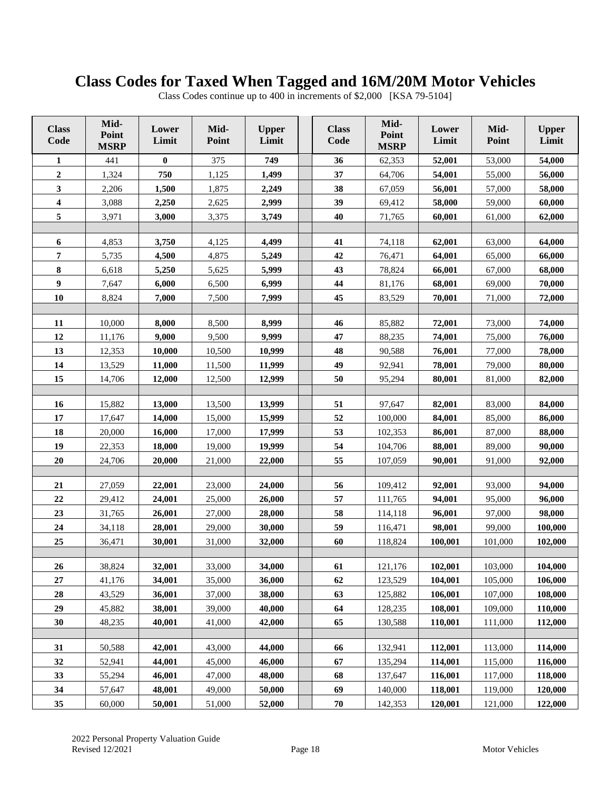## **Class Codes for Taxed When Tagged and 16M/20M Motor Vehicles**

|  |  |  |  |  | Class Codes continue up to 400 in increments of \$2,000 [KSA 79-5104] |
|--|--|--|--|--|-----------------------------------------------------------------------|
|--|--|--|--|--|-----------------------------------------------------------------------|

| <b>Class</b><br>Code | Mid-<br>Point<br><b>MSRP</b> | Lower<br>Limit   | Mid-<br>Point | <b>Upper</b><br>Limit | <b>Class</b><br>Code | Mid-<br>Point<br><b>MSRP</b> | Lower<br>Limit   | Mid-<br>Point | <b>Upper</b><br>Limit |
|----------------------|------------------------------|------------------|---------------|-----------------------|----------------------|------------------------------|------------------|---------------|-----------------------|
| 1                    | 441                          | $\bf{0}$         | 375           | 749                   | 36                   | 62,353                       | 52,001           | 53,000        | 54,000                |
| $\mathbf 2$          | 1,324                        | 750              | 1,125         | 1,499                 | 37                   | 64,706                       | 54,001           | 55,000        | 56,000                |
| $\mathbf{3}$         | 2,206                        | 1,500            | 1,875         | 2,249                 | 38                   | 67,059                       | 56,001           | 57,000        | 58,000                |
| $\boldsymbol{4}$     | 3,088                        | 2,250            | 2,625         | 2,999                 | 39                   | 69,412                       | 58,000           | 59,000        | 60,000                |
| 5                    | 3,971                        | 3,000            | 3,375         | 3,749                 | 40                   | 71,765                       | 60,001           | 61,000        | 62,000                |
|                      |                              |                  |               |                       |                      |                              |                  |               |                       |
| 6                    | 4,853                        | 3,750            | 4,125         | 4,499                 | 41                   | 74,118                       | 62,001           | 63,000        | 64,000                |
| 7                    | 5,735                        | 4,500            | 4,875         | 5,249                 | 42                   | 76,471                       | 64,001           | 65,000        | 66,000                |
| ${\bf 8}$            | 6,618                        | 5,250            | 5,625         | 5,999                 | 43                   | 78,824                       | 66,001           | 67,000        | 68,000                |
| $\boldsymbol{9}$     | 7,647                        | 6,000            | 6,500         | 6,999                 | 44                   | 81,176                       | 68,001           | 69,000        | 70,000                |
| 10                   | 8,824                        | 7,000            | 7,500         | 7,999                 | 45                   | 83,529                       | 70,001           | 71,000        | 72,000                |
|                      |                              |                  |               |                       |                      |                              |                  |               |                       |
| 11                   | 10,000                       | 8,000            | 8,500         | 8,999                 | 46                   | 85,882                       | 72,001           | 73,000        | 74,000                |
| 12                   | 11,176                       | 9,000            | 9,500         | 9,999                 | 47                   | 88,235                       | 74,001           | 75,000        | 76,000                |
| 13                   | 12,353                       | 10,000           | 10,500        | 10,999                | 48                   | 90,588                       | 76,001           | 77,000        | 78,000                |
| 14                   | 13,529                       | 11,000           | 11,500        | 11,999                | 49                   | 92,941                       | 78,001           | 79,000        | 80,000                |
| 15                   | 14,706                       | 12,000           | 12,500        | 12,999                | 50                   | 95,294                       | 80,001           | 81,000        | 82,000                |
| 16                   | 15,882                       | 13,000           | 13,500        | 13,999                | 51                   | 97,647                       | 82,001           | 83,000        | 84,000                |
| 17                   | 17,647                       | 14,000           | 15,000        | 15,999                | 52                   | 100,000                      | 84,001           | 85,000        | 86,000                |
| 18                   |                              |                  |               |                       | 53                   |                              |                  |               |                       |
| 19                   | 20,000<br>22,353             | 16,000<br>18,000 | 17,000        | 17,999<br>19,999      | 54                   | 102,353<br>104,706           | 86,001<br>88,001 | 87,000        | 88,000<br>90,000      |
| 20                   |                              | 20,000           | 19,000        |                       | 55                   | 107,059                      |                  | 89,000        |                       |
|                      | 24,706                       |                  | 21,000        | 22,000                |                      |                              | 90,001           | 91,000        | 92,000                |
| 21                   | 27,059                       | 22,001           | 23,000        | 24,000                | 56                   | 109,412                      | 92,001           | 93,000        | 94,000                |
| $\bf{22}$            | 29,412                       | 24,001           | 25,000        | 26,000                | 57                   | 111,765                      | 94,001           | 95,000        | 96,000                |
| 23                   | 31,765                       | 26,001           | 27,000        | 28,000                | 58                   | 114,118                      | 96,001           | 97,000        | 98,000                |
| 24                   | 34,118                       | 28,001           | 29,000        | 30,000                | 59                   | 116,471                      | 98,001           | 99,000        | 100,000               |
| 25                   | 36,471                       | 30,001           | 31,000        | 32,000                | 60                   | 118,824                      | 100,001          | 101,000       | 102,000               |
|                      |                              |                  |               |                       |                      |                              |                  |               |                       |
| 26                   | 38,824                       | 32,001           | 33,000        | 34,000                | 61                   | 121,176                      | 102,001          | 103,000       | 104,000               |
| 27                   | 41,176                       | 34,001           | 35,000        | 36,000                | 62                   | 123,529                      | 104,001          | 105,000       | 106,000               |
| 28                   | 43,529                       | 36,001           | 37,000        | 38,000                | 63                   | 125,882                      | 106,001          | 107,000       | 108,000               |
| 29                   | 45,882                       | 38,001           | 39,000        | 40,000                | 64                   | 128,235                      | 108,001          | 109,000       | 110,000               |
| 30                   | 48,235                       | 40,001           | 41,000        | 42,000                | 65                   | 130,588                      | 110,001          | 111,000       | 112,000               |
|                      |                              |                  |               |                       |                      |                              |                  |               |                       |
| 31                   | 50,588                       | 42,001           | 43,000        | 44,000                | 66                   | 132,941                      | 112,001          | 113,000       | 114,000               |
| 32                   | 52,941                       | 44,001           | 45,000        | 46,000                | 67                   | 135,294                      | 114,001          | 115,000       | 116,000               |
| 33                   | 55,294                       | 46,001           | 47,000        | 48,000                | 68                   | 137,647                      | 116,001          | 117,000       | 118,000               |
| 34                   | 57,647                       | 48,001           | 49,000        | 50,000                | 69                   | 140,000                      | 118,001          | 119,000       | 120,000               |
| 35                   | 60,000                       | 50,001           | 51,000        | 52,000                | 70                   | 142,353                      | 120,001          | 121,000       | 122,000               |